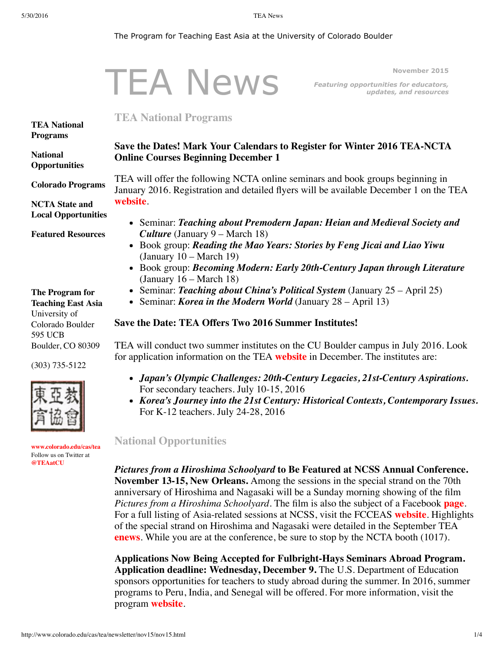#### <span id="page-0-0"></span>The Program for Teaching East Asia at the University of Colorado Boulder

|                                              | November 2015                                                                                                                                                                                                                                                                                                                                          |
|----------------------------------------------|--------------------------------------------------------------------------------------------------------------------------------------------------------------------------------------------------------------------------------------------------------------------------------------------------------------------------------------------------------|
|                                              | <b>TEA News</b><br>Featuring opportunities for educators,<br>updates, and resources                                                                                                                                                                                                                                                                    |
| <b>TEA National</b><br><b>Programs</b>       | <b>TEA National Programs</b>                                                                                                                                                                                                                                                                                                                           |
|                                              | Save the Dates! Mark Your Calendars to Register for Winter 2016 TEA-NCTA                                                                                                                                                                                                                                                                               |
| <b>National</b><br><b>Opportunities</b>      | <b>Online Courses Beginning December 1</b>                                                                                                                                                                                                                                                                                                             |
| <b>Colorado Programs</b>                     | TEA will offer the following NCTA online seminars and book groups beginning in<br>January 2016. Registration and detailed flyers will be available December 1 on the TEA                                                                                                                                                                               |
| <b>NCTA State and</b>                        | website.                                                                                                                                                                                                                                                                                                                                               |
| <b>Local Opportunities</b>                   |                                                                                                                                                                                                                                                                                                                                                        |
|                                              | • Seminar: Teaching about Premodern Japan: Heian and Medieval Society and                                                                                                                                                                                                                                                                              |
| <b>Featured Resources</b><br>The Program for | <b>Culture</b> (January $9 - \text{March } 18$ )<br>• Book group: Reading the Mao Years: Stories by Feng Jicai and Liao Yiwu<br>(January $10 - March 19$ )<br>• Book group: Becoming Modern: Early 20th-Century Japan through Literature<br>(January $16 - March 18$ )<br>• Seminar: Teaching about China's Political System (January $25 -$ April 25) |
| <b>Teaching East Asia</b><br>University of   | • Seminar: <i>Korea in the Modern World</i> (January $28 - April 13$ )                                                                                                                                                                                                                                                                                 |
| Colorado Boulder<br><b>595 UCB</b>           | Save the Date: TEA Offers Two 2016 Summer Institutes!                                                                                                                                                                                                                                                                                                  |
| Boulder, CO 80309                            | TEA will conduct two summer institutes on the CU Boulder campus in July 2016. Look                                                                                                                                                                                                                                                                     |
| $(303) 735 - 5122$                           | for application information on the TEA website in December. The institutes are:                                                                                                                                                                                                                                                                        |
|                                              | • Japan's Olympic Challenges: 20th-Century Legacies, 21st-Century Aspirations.<br>For secondary teachers. July 10-15, 2016<br>• Korea's Journey into the 21st Century: Historical Contexts, Contemporary Issues.<br>For K-12 teachers. July 24-28, 2016                                                                                                |
|                                              |                                                                                                                                                                                                                                                                                                                                                        |

#### <span id="page-0-1"></span>**National Opportunities**

*Pictures from a Hiroshima Schoolyard* **to Be Featured at NCSS Annual Conference. November 13-15, New Orleans.** Among the sessions in the special strand on the 70th anniversary of Hiroshima and Nagasaki will be a Sunday morning showing of the film *Pictures from a Hiroshima Schoolyard*. The film is also the subject of a Facebook **[page](https://www.facebook.com/hiroshimaschoolyard)**. For a full listing of Asia-related sessions at NCSS, visit the FCCEAS **[website](https://www.fivecolleges.edu/fcceas/asia-at-ncss)**. Highlights of the special strand on Hiroshima and Nagasaki were detailed in the September TEA **[enews](http://www.colorado.edu/cas/tea/newsletter/sep15/sep15.html)**. While you are at the conference, be sure to stop by the NCTA booth (1017).

**Applications Now Being Accepted for Fulbright-Hays Seminars Abroad Program. Application deadline: Wednesday, December 9.** The U.S. Department of Education sponsors opportunities for teachers to study abroad during the summer. In 2016, summer programs to Peru, India, and Senegal will be offered. For more information, visit the program **[website](http://www2.ed.gov/programs/iegpssap/sapfacts.html)**.

**[www.colorado.edu/cas/tea](http://www.colorado.edu/cas/tea)** Follow us on Twitter at **[@TEAatCU](https://twitter.com/TEAatCU)**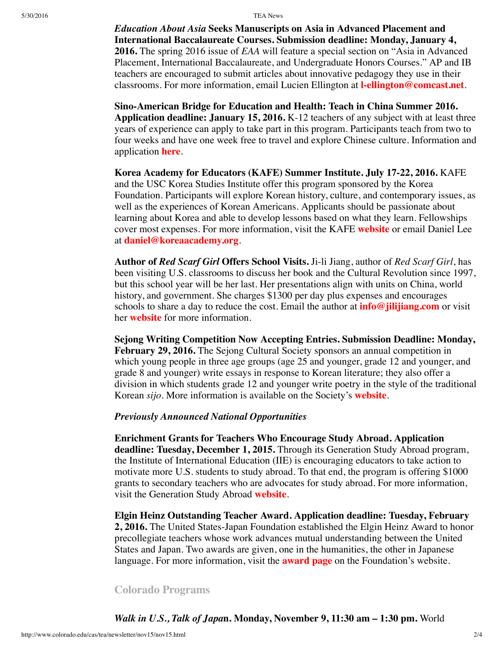5/30/2016 TEA News

*Education About Asia* **Seeks Manuscripts on Asia in Advanced Placement and International Baccalaureate Courses. Submission deadline: Monday, January 4, 2016.** The spring 2016 issue of *EAA* will feature a special section on "Asia in Advanced Placement, International Baccalaureate, and Undergraduate Honors Courses." AP and IB teachers are encouraged to submit articles about innovative pedagogy they use in their classrooms. For more information, email Lucien Ellington at **[l-ellington@comcast.net](mailto:l-ellington@comcast.net)**.

**Sino-American Bridge for Education and Health: Teach in China Summer 2016. Application deadline: January 15, 2016.** K-12 teachers of any subject with at least three years of experience can apply to take part in this program. Participants teach from two to four weeks and have one week free to travel and explore Chinese culture. Information and application **[here](http://sabeh.org/summer-2015/)**.

**Korea Academy for Educators (KAFE) Summer Institute. July 17-22, 2016.** KAFE and the USC Korea Studies Institute offer this program sponsored by the Korea Foundation. Participants will explore Korean history, culture, and contemporary issues, as well as the experiences of Korean Americans. Applicants should be passionate about learning about Korea and able to develop lessons based on what they learn. Fellowships cover most expenses. For more information, visit the KAFE **[website](http://www.koreaacademy.org/)** or email Daniel Lee at **[daniel@koreaacademy.org](mailto:daniel@koreaacademy.org)**.

**Author of** *Red Scarf Girl* **Offers School Visits.** Ji-li Jiang, author of *Red Scarf Girl*, has been visiting U.S. classrooms to discuss her book and the Cultural Revolution since 1997, but this school year will be her last. Her presentations align with units on China, world history, and government. She charges \$1300 per day plus expenses and encourages schools to share a day to reduce the cost. Email the author at **[info@jilijiang.com](mailto:info@jilijiang.com)** or visit her **[website](http://www.jilijiang.com/school-visits/generalinfo.htm)** for more information.

**Sejong Writing Competition Now Accepting Entries. Submission Deadline: Monday, February 29, 2016.** The Sejong Cultural Society sponsors an annual competition in which young people in three age groups (age 25 and younger, grade 12 and younger, and grade 8 and younger) write essays in response to Korean literature; they also offer a division in which students grade 12 and younger write poetry in the style of the traditional Korean *sijo*. More information is available on the Society's **[website](http://www.sejongculturalsociety.org/writing/current/index.php)**.

### *Previously Announced National Opportunities*

**Enrichment Grants for Teachers Who Encourage Study Abroad. Application deadline: Tuesday, December 1, 2015.** Through its Generation Study Abroad program, the Institute of International Education (IIE) is encouraging educators to take action to motivate more U.S. students to study abroad. To that end, the program is offering \$1000 grants to secondary teachers who are advocates for study abroad. For more information, visit the Generation Study Abroad **[website](http://www.iie.org/Programs/Generation-Study-Abroad)**.

**Elgin Heinz Outstanding Teacher Award. Application deadline: Tuesday, February 2, 2016.** The United States-Japan Foundation established the Elgin Heinz Award to honor precollegiate teachers whose work advances mutual understanding between the United States and Japan. Two awards are given, one in the humanities, the other in Japanese language. For more information, visit the **[award](http://us-jf.org/programs/elgin-heinz-teacher-awards/) page** on the Foundation's website.

#### <span id="page-1-0"></span>**Colorado Programs**

*Walk in U.S., Talk of Japa***n. Monday, November 9, 11:30 am – 1:30 pm.** World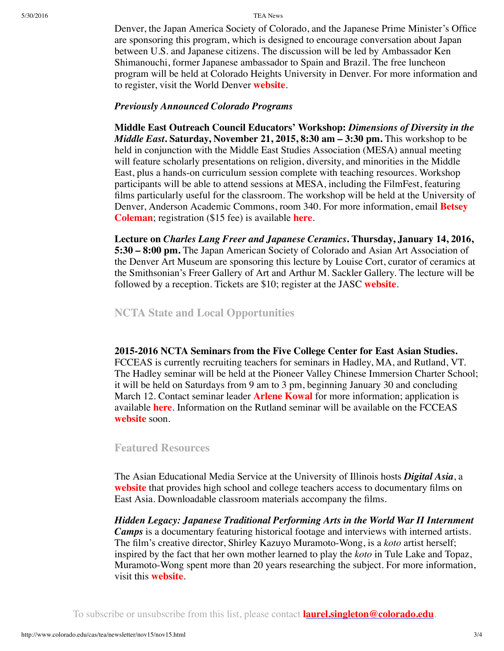5/30/2016 TEA News

Denver, the Japan America Society of Colorado, and the Japanese Prime Minister's Office are sponsoring this program, which is designed to encourage conversation about Japan between U.S. and Japanese citizens. The discussion will be led by Ambassador Ken Shimanouchi, former Japanese ambassador to Spain and Brazil. The free luncheon program will be held at Colorado Heights University in Denver. For more information and to register, visit the World Denver **[website](http://www.worlddenver.org/event-2080692)**.

# *Previously Announced Colorado Programs*

**Middle East Outreach Council Educators' Workshop:** *Dimensions of Diversity in the Middle East***. Saturday, November 21, 2015, 8:30 am – 3:30 pm.** This workshop to be held in conjunction with the Middle East Studies Association (MESA) annual meeting will feature scholarly presentations on religion, diversity, and minorities in the Middle East, plus a hands-on curriculum session complete with teaching resources. Workshop participants will be able to attend sessions at MESA, including the FilmFest, featuring films particularly useful for the classroom. The workshop will be held at the University of Denver, Anderson Academic Commons, room 340. For more [information,](mailto:betsey.coleman@coloradoacademy.org) email **Betsey Coleman**; registration (\$15 fee) is available **[here](http://events.r20.constantcontact.com/register/event?oeidk=a07ebjipb0q5cb1cd88&llr=fgf6vevab&showPage=true)**.

**Lecture on** *Charles Lang Freer and Japanese Ceramics***. Thursday, January 14, 2016, 5:30 – 8:00 pm.** The Japan American Society of Colorado and Asian Art Association of the Denver Art Museum are sponsoring this lecture by Louise Cort, curator of ceramics at the Smithsonian's Freer Gallery of Art and Arthur M. Sackler Gallery. The lecture will be followed by a reception. Tickets are \$10; register at the JASC **[website](http://www.jascolorado.org/)**.

# <span id="page-2-0"></span>**NCTA State and Local Opportunities**

**2015-2016 NCTA Seminars from the Five College Center for East Asian Studies.** FCCEAS is currently recruiting teachers for seminars in Hadley, MA, and Rutland, VT. The Hadley seminar will be held at the Pioneer Valley Chinese Immersion Charter School; it will be held on Saturdays from 9 am to 3 pm, beginning January 30 and concluding March 12. Contact seminar leader **[Arlene](mailto:arlene.kowal@gmail.com%C2%A0) Kowal** for more information; application is available **[here](https://www.fivecolleges.edu/fcceas/ncta/ncta_in_massachusetts)**. Information on the Rutland seminar will be available on the FCCEAS **[website](https://www.fivecolleges.edu/fcceas/ncta/vermont)** soon.

# <span id="page-2-1"></span>**Featured Resources**

The Asian Educational Media Service at the University of Illinois hosts *Digital Asia*, a **[website](http://www.digitalasia.illinois.edu/)** that provides high school and college teachers access to documentary films on East Asia. Downloadable classroom materials accompany the films.

*Hidden Legacy: Japanese Traditional Performing Arts in the World War II Internment Camps* is a documentary featuring historical footage and interviews with interned artists. The film's creative director, Shirley Kazuyo Muramoto-Wong, is a *koto* artist herself; inspired by the fact that her own mother learned to play the *koto* in Tule Lake and Topaz, Muramoto-Wong spent more than 20 years researching the subject. For more information, visit this **[website](http://jcalegacy.com/)**.

To subscribe or unsubscribe from this list, please contact **[laurel.singleton@colorado.edu](mailto:laurel.singleton@colorado.edu)**.